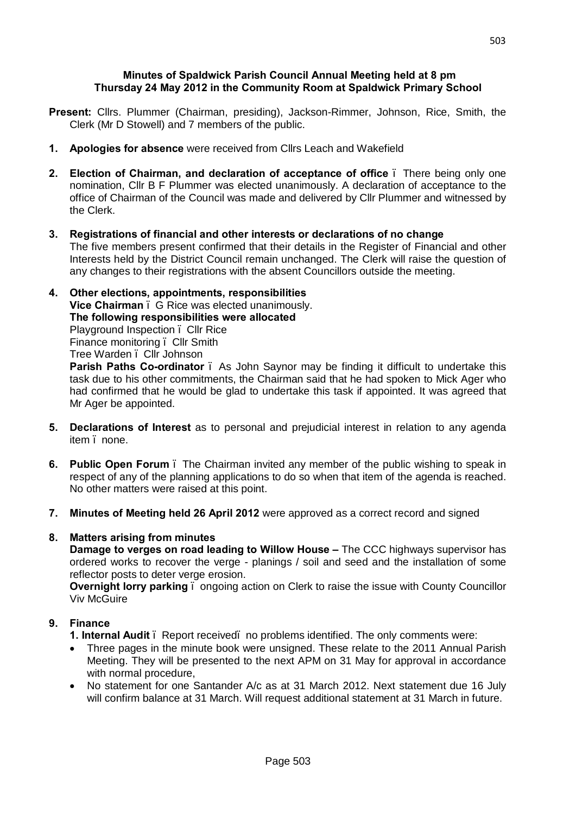#### **Minutes of Spaldwick Parish Council Annual Meeting held at 8 pm Thursday 24 May 2012 in the Community Room at Spaldwick Primary School**

- **Present:** Cllrs. Plummer (Chairman, presiding), Jackson-Rimmer, Johnson, Rice, Smith, the Clerk (Mr D Stowell) and 7 members of the public.
- **1. Apologies for absence** were received from Cllrs Leach and Wakefield
- **2. Election of Chairman, and declaration of acceptance of office** There being only one nomination, Cllr B F Plummer was elected unanimously. A declaration of acceptance to the office of Chairman of the Council was made and delivered by Cllr Plummer and witnessed by the Clerk.
- **3. Registrations of financial and other interests or declarations of no change** The five members present confirmed that their details in the Register of Financial and other Interests held by the District Council remain unchanged. The Clerk will raise the question of any changes to their registrations with the absent Councillors outside the meeting.
- **4. Other elections, appointments, responsibilities Vice Chairman** – G Rice was elected unanimously. **The following responsibilities were allocated** Playground Inspection – Cllr Rice Finance monitoring – Cllr Smith Tree Warden – Cllr Johnson

**Parish Paths Co-ordinator** – As John Saynor may be finding it difficult to undertake this task due to his other commitments, the Chairman said that he had spoken to Mick Ager who had confirmed that he would be glad to undertake this task if appointed. It was agreed that Mr Ager be appointed.

- **5. Declarations of Interest** as to personal and prejudicial interest in relation to any agenda item . none.
- **6. Public Open Forum** The Chairman invited any member of the public wishing to speak in respect of any of the planning applications to do so when that item of the agenda is reached. No other matters were raised at this point.
- **7. Minutes of Meeting held 26 April 2012** were approved as a correct record and signed

# **8. Matters arising from minutes**

**Damage to verges on road leading to Willow House –** The CCC highways supervisor has ordered works to recover the verge - planings / soil and seed and the installation of some reflector posts to deter verge erosion.

**Overnight lorry parking** . ongoing action on Clerk to raise the issue with County Councillor Viv McGuire

# **9. Finance**

- **1. Internal Audit** . Report received. no problems identified. The only comments were:
- Three pages in the minute book were unsigned. These relate to the 2011 Annual Parish Meeting. They will be presented to the next APM on 31 May for approval in accordance with normal procedure.
- · No statement for one Santander A/c as at 31 March 2012. Next statement due 16 July will confirm balance at 31 March. Will request additional statement at 31 March in future.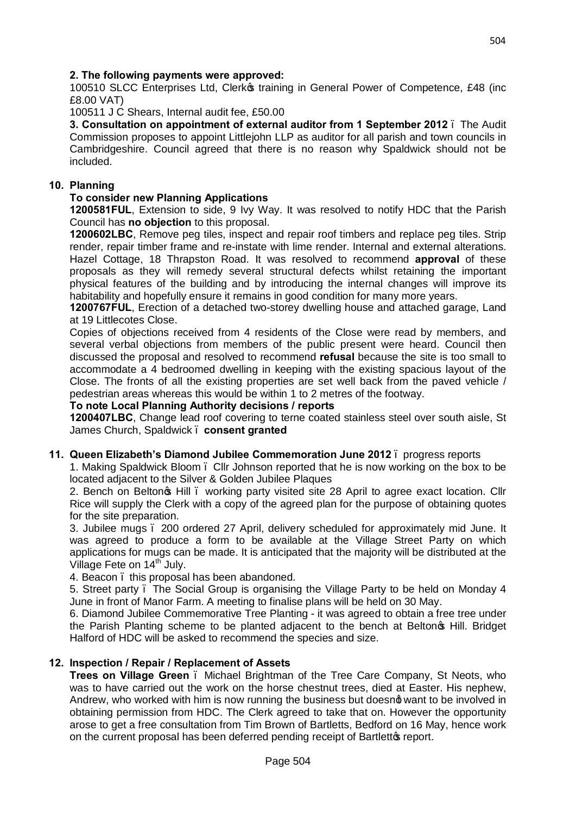# **2. The following payments were approved:**

100510 SLCC Enterprises Ltd, Clerkos training in General Power of Competence, £48 (inc £8.00 VAT)

100511 J C Shears, Internal audit fee, £50.00

**3. Consultation on appointment of external auditor from 1 September 2012** – The Audit Commission proposes to appoint Littlejohn LLP as auditor for all parish and town councils in Cambridgeshire. Council agreed that there is no reason why Spaldwick should not be included.

## **10. Planning**

## **To consider new Planning Applications**

**1200581FUL**, Extension to side, 9 Ivy Way. It was resolved to notify HDC that the Parish Council has **no objection** to this proposal.

**1200602LBC**, [Remove peg tiles, inspect and repair roof timbers and replace peg tiles. Strip](http://publicaccess.huntsdc.gov.uk/online-applications/applicationDetails.do;jsessionid=1E3393FDD314F98E9A0E4B69B204775B?activeTab=summary&keyVal=M2SCGXIK00S00)  [render, repair timber frame and re-instate with lime render. Internal and external alterations.](http://publicaccess.huntsdc.gov.uk/online-applications/applicationDetails.do;jsessionid=1E3393FDD314F98E9A0E4B69B204775B?activeTab=summary&keyVal=M2SCGXIK00S00)  Hazel Cottage, 18 Thrapston Road. It was resolved to recommend **approval** of these proposals as they will remedy several structural defects whilst retaining the important physical features of the building and by introducing the internal changes will improve its habitability and hopefully ensure it remains in good condition for many more years.

**1200767FUL**, Erection of a detached two-storey dwelling house and attached garage, Land at 19 Littlecotes Close.

Copies of objections received from 4 residents of the Close were read by members, and several verbal objections from members of the public present were heard. Council then discussed the proposal and resolved to recommend **refusal** because the site is too small to accommodate a 4 bedroomed dwelling in keeping with the existing spacious layout of the Close. The fronts of all the existing properties are set well back from the paved vehicle / pedestrian areas whereas this would be within 1 to 2 metres of the footway.

#### **To note Local Planning Authority decisions / reports**

**1200407LBC**, [Change lead roof covering to terne coated stainless steel over south aisle,](http://publicaccess.huntsdc.gov.uk/online-applications/applicationDetails.do;jsessionid=5EB8C9E31F3BDEDF009250EA96A31D5B?activeTab=summary&keyVal=M0VFYMIK8M000) St James Church, Spaldwick – **consent granted**

### **11. Queen Elizabeth's Diamond Jubilee Commemoration June 2012** – progress reports

1. Making Spaldwick Bloom – Cllr Johnson reported that he is now working on the box to be located adjacent to the Silver & Golden Jubilee Plaques

2. Bench on Belton was Hill . working party visited site 28 April to agree exact location. Cllr Rice will supply the Clerk with a copy of the agreed plan for the purpose of obtaining quotes for the site preparation.

3. Jubilee mugs – 200 ordered 27 April, delivery scheduled for approximately mid June. It was agreed to produce a form to be available at the Village Street Party on which applications for mugs can be made. It is anticipated that the majority will be distributed at the Village Fete on  $14<sup>th</sup>$  July.

4. Beacon, this proposal has been abandoned.

5. Street party – The Social Group is organising the Village Party to be held on Monday 4 June in front of Manor Farm. A meeting to finalise plans will be held on 30 May.

6. Diamond Jubilee Commemorative Tree Planting - it was agreed to obtain a free tree under the Parish Planting scheme to be planted adjacent to the bench at Belton<sub>®</sub> Hill. Bridget Halford of HDC will be asked to recommend the species and size.

### **12. Inspection / Repair / Replacement of Assets**

**Trees on Village Green** – Michael Brightman of the Tree Care Company, St Neots, who was to have carried out the work on the horse chestnut trees, died at Easter. His nephew, Andrew, who worked with him is now running the business but doesnot want to be involved in obtaining permission from HDC. The Clerk agreed to take that on. However the opportunity arose to get a free consultation from Tim Brown of Bartletts, Bedford on 16 May, hence work on the current proposal has been deferred pending receipt of Bartletto report.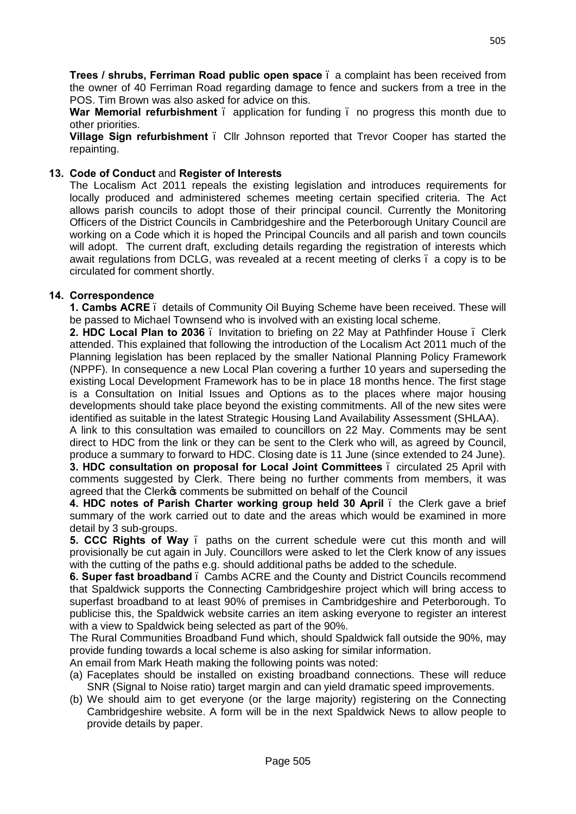**Trees / shrubs, Ferriman Road public open space** – a complaint has been received from the owner of 40 Ferriman Road regarding damage to fence and suckers from a tree in the POS. Tim Brown was also asked for advice on this.

**War Memorial refurbishment** – application for funding – no progress this month due to other priorities.

**Village Sign refurbishment** – Cllr Johnson reported that Trevor Cooper has started the repainting.

# **13. Code of Conduct** and **Register of Interests**

The Localism Act 2011 repeals the existing legislation and introduces requirements for locally produced and administered schemes meeting certain specified criteria. The Act allows parish councils to adopt those of their principal council. Currently the Monitoring Officers of the District Councils in Cambridgeshire and the Peterborough Unitary Council are working on a Code which it is hoped the Principal Councils and all parish and town councils will adopt. The current draft, excluding details regarding the registration of interests which await regulations from DCLG, was revealed at a recent meeting of clerks – a copy is to be circulated for comment shortly.

### **14. Correspondence**

**1. Cambs ACRE** – details of Community Oil Buying Scheme have been received. These will be passed to Michael Townsend who is involved with an existing local scheme.

**2. HDC Local Plan to 2036** – Invitation to briefing on 22 May at Pathfinder House – Clerk attended. This explained that following the introduction of the Localism Act 2011 much of the Planning legislation has been replaced by the smaller National Planning Policy Framework (NPPF). In consequence a new Local Plan covering a further 10 years and superseding the existing Local Development Framework has to be in place 18 months hence. The first stage is a Consultation on Initial Issues and Options as to the places where major housing developments should take place beyond the existing commitments. All of the new sites were identified as suitable in the latest Strategic Housing Land Availability Assessment (SHLAA).

A link to this consultation was emailed to councillors on 22 May. Comments may be sent direct to HDC from the link or they can be sent to the Clerk who will, as agreed by Council, produce a summary to forward to HDC. Closing date is 11 June (since extended to 24 June). **3. HDC consultation on proposal for Local Joint Committees** – circulated 25 April with comments suggested by Clerk. There being no further comments from members, it was agreed that the Clerk of comments be submitted on behalf of the Council

**4. HDC notes of Parish Charter working group held 30 April** – the Clerk gave a brief summary of the work carried out to date and the areas which would be examined in more detail by 3 sub-groups.

**5. CCC Rights of Way** – paths on the current schedule were cut this month and will provisionally be cut again in July. Councillors were asked to let the Clerk know of any issues with the cutting of the paths e.g. should additional paths be added to the schedule.

**6. Super fast broadband** – Cambs ACRE and the County and District Councils recommend that Spaldwick supports the Connecting Cambridgeshire project which will bring access to superfast broadband to at least 90% of premises in Cambridgeshire and Peterborough. To publicise this, the Spaldwick website carries an item asking everyone to register an interest with a view to Spaldwick being selected as part of the 90%.

The Rural Communities Broadband Fund which, should Spaldwick fall outside the 90%, may provide funding towards a local scheme is also asking for similar information.

An email from Mark Heath making the following points was noted:

- (a) Faceplates should be installed on existing broadband connections. These will reduce SNR (Signal to Noise ratio) target margin and can yield dramatic speed improvements.
- (b) We should aim to get everyone (or the large majority) registering on the Connecting Cambridgeshire website. A form will be in the next Spaldwick News to allow people to provide details by paper.